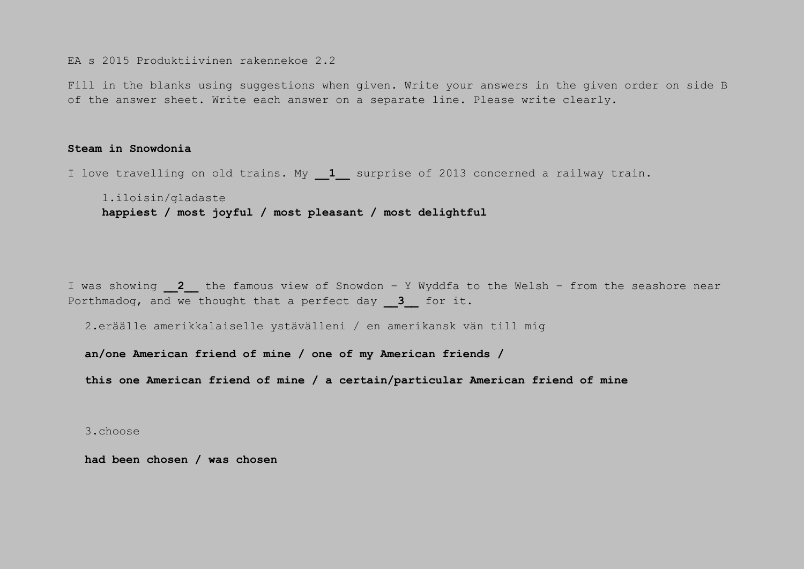EA s 2015 Produktiivinen rakennekoe 2.2

Fill in the blanks using suggestions when given. Write your answers in the given order on side B of the answer sheet. Write each answer on a separate line. Please write clearly.

## **Steam in Snowdonia**

I love travelling on old trains. My **\_\_1\_\_** surprise of 2013 concerned a railway train.

1.iloisin/gladaste **happiest / most joyful / most pleasant / most delightful**

I was showing **\_\_2\_\_** the famous view of Snowdon – Y Wyddfa to the Welsh – from the seashore near Porthmadog, and we thought that a perfect day **3** for it.

2.eräälle amerikkalaiselle ystävälleni / en amerikansk vän till mig

**an/one American friend of mine / one of my American friends /**

**this one American friend of mine / a certain/particular American friend of mine**

3.choose

**had been chosen / was chosen**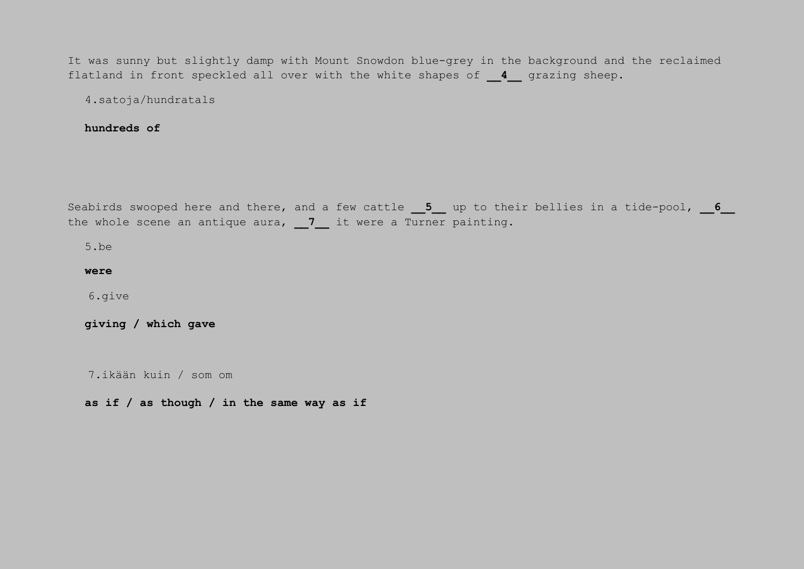It was sunny but slightly damp with Mount Snowdon blue-grey in the background and the reclaimed flatland in front speckled all over with the white shapes of **4** qrazing sheep.

4.satoja/hundratals

**hundreds of**

Seabirds swooped here and there, and a few cattle **5** up to their bellies in a tide-pool, **6** the whole scene an antique aura, 7 it were a Turner painting.

5.be

**were**

6.give

**giving / which gave**

7.ikään kuin / som om

**as if / as though / in the same way as if**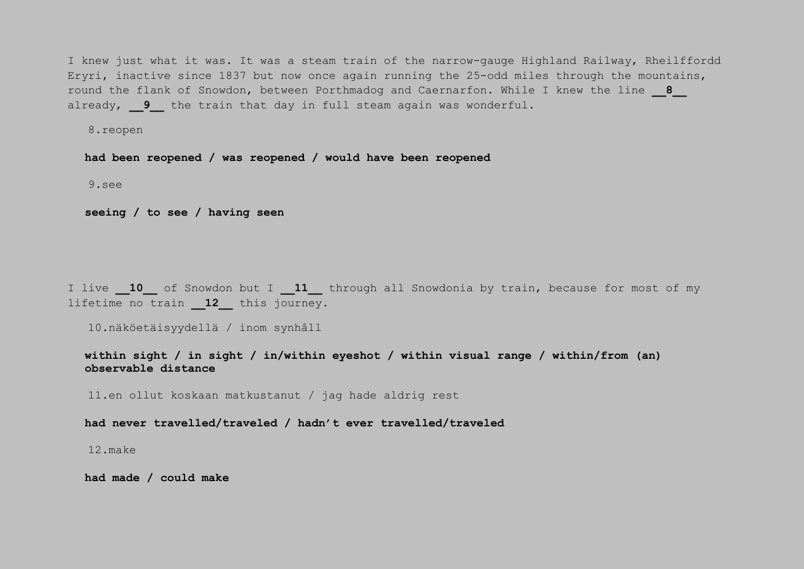I knew just what it was. It was a steam train of the narrow-gauge Highland Railway, Rheilffordd Eryri, inactive since 1837 but now once again running the 25-odd miles through the mountains, round the flank of Snowdon, between Porthmadog and Caernarfon. While I knew the line **\_\_8\_\_** already, 9 the train that day in full steam again was wonderful.

8.reopen

**had been reopened / was reopened / would have been reopened**

9.see

**seeing / to see / having seen**

I live **10** of Snowdon but I **11** through all Snowdonia by train, because for most of my lifetime no train **\_\_12\_\_** this journey.

10.näköetäisyydellä / inom synhåll

**within sight / in sight / in/within eyeshot / within visual range / within/from (an) observable distance**

11.en ollut koskaan matkustanut / jag hade aldrig rest

**had never travelled/traveled / hadn't ever travelled/traveled**

12.make

**had made / could make**